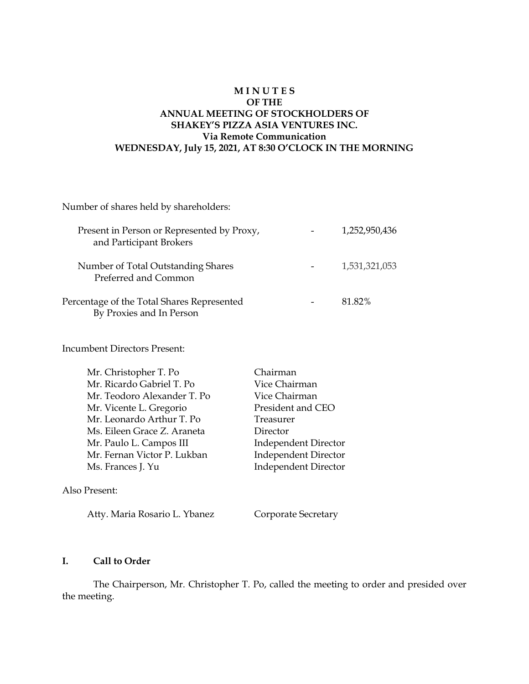# **M I N U T E S OF THE ANNUAL MEETING OF STOCKHOLDERS OF SHAKEY'S PIZZA ASIA VENTURES INC. Via Remote Communication WEDNESDAY, July 15, 2021, AT 8:30 O'CLOCK IN THE MORNING**

Number of shares held by shareholders: Present in Person or Represented by Proxy,  $1,252,950,436$ and Participant Brokers Number of Total Outstanding Shares **1,531,321,053**  Preferred and Common Percentage of the Total Shares Represented - 81.82% By Proxies and In Person

Incumbent Directors Present:

| Mr. Christopher T. Po       | Chairman                    |
|-----------------------------|-----------------------------|
| Mr. Ricardo Gabriel T. Po   | Vice Chairman               |
| Mr. Teodoro Alexander T. Po | Vice Chairman               |
| Mr. Vicente L. Gregorio     | President and CEO           |
| Mr. Leonardo Arthur T. Po   | Treasurer                   |
| Ms. Eileen Grace Z. Araneta | Director                    |
| Mr. Paulo L. Campos III     | <b>Independent Director</b> |
| Mr. Fernan Victor P. Lukban | <b>Independent Director</b> |
| Ms. Frances J. Yu           | <b>Independent Director</b> |
|                             |                             |
|                             |                             |

#### Also Present:

Atty. Maria Rosario L. Ybanez Corporate Secretary

# **I. Call to Order**

The Chairperson, Mr. Christopher T. Po, called the meeting to order and presided over the meeting.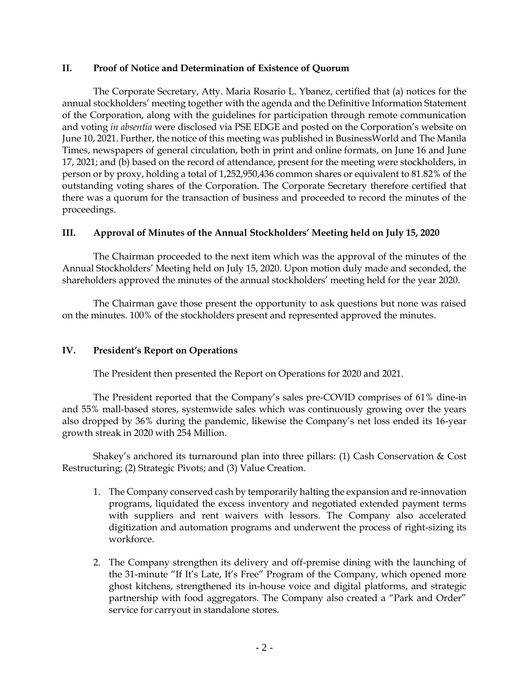#### **II. Proof of Notice and Determination of Existence of Quorum**

The Corporate Secretary, Atty. Maria Rosario L. Ybanez, certified that (a) notices for the annual stockholders' meeting together with the agenda and the Definitive Information Statement of the Corporation, along with the guidelines for participation through remote communication and voting *in absentia* were disclosed via PSE EDGE and posted on the Corporation's website on June 10, 2021. Further, the notice of this meeting was published in BusinessWorld and The Manila Times, newspapers of general circulation, both in print and online formats, on June 16 and June 17, 2021; and (b) based on the record of attendance, present for the meeting were stockholders, in person or by proxy, holding a total of 1,252,950,436 common shares or equivalent to 81.82% of the outstanding voting shares of the Corporation. The Corporate Secretary therefore certified that there was a quorum for the transaction of business and proceeded to record the minutes of the proceedings.

# **III. Approval of Minutes of the Annual Stockholders' Meeting held on July 15, 2020**

The Chairman proceeded to the next item which was the approval of the minutes of the Annual Stockholders' Meeting held on July 15, 2020. Upon motion duly made and seconded, the shareholders approved the minutes of the annual stockholders' meeting held for the year 2020.

The Chairman gave those present the opportunity to ask questions but none was raised on the minutes. 100% of the stockholders present and represented approved the minutes.

# **IV. President's Report on Operations**

The President then presented the Report on Operations for 2020 and 2021.

The President reported that the Company's sales pre-COVID comprises of 61% dine-in and 55% mall-based stores, systemwide sales which was continuously growing over the years also dropped by 36% during the pandemic, likewise the Company's net loss ended its 16-year growth streak in 2020 with 254 Million.

Shakey's anchored its turnaround plan into three pillars: (1) Cash Conservation & Cost Restructuring; (2) Strategic Pivots; and (3) Value Creation.

- 1. The Company conserved cash by temporarily halting the expansion and re-innovation programs, liquidated the excess inventory and negotiated extended payment terms with suppliers and rent waivers with lessors. The Company also accelerated digitization and automation programs and underwent the process of right-sizing its workforce.
- 2. The Company strengthen its delivery and off-premise dining with the launching of the 31-minute "If It's Late, It's Free" Program of the Company, which opened more ghost kitchens, strengthened its in-house voice and digital platforms, and strategic partnership with food aggregators. The Company also created a "Park and Order" service for carryout in standalone stores.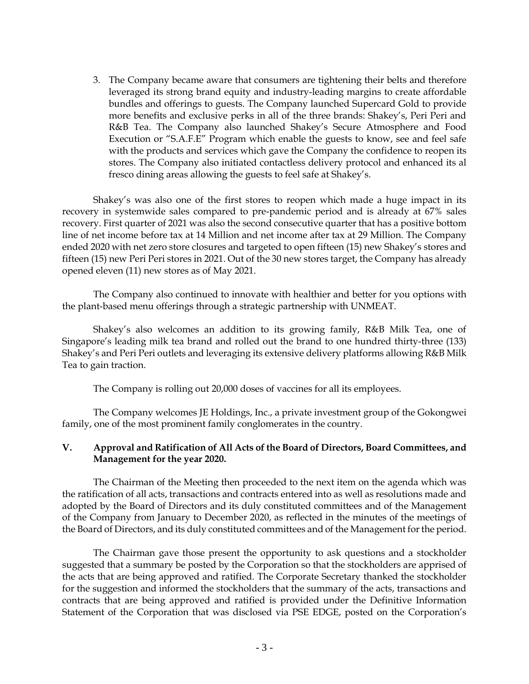3. The Company became aware that consumers are tightening their belts and therefore leveraged its strong brand equity and industry-leading margins to create affordable bundles and offerings to guests. The Company launched Supercard Gold to provide more benefits and exclusive perks in all of the three brands: Shakey's, Peri Peri and R&B Tea. The Company also launched Shakey's Secure Atmosphere and Food Execution or "S.A.F.E" Program which enable the guests to know, see and feel safe with the products and services which gave the Company the confidence to reopen its stores. The Company also initiated contactless delivery protocol and enhanced its al fresco dining areas allowing the guests to feel safe at Shakey's.

Shakey's was also one of the first stores to reopen which made a huge impact in its recovery in systemwide sales compared to pre-pandemic period and is already at 67% sales recovery. First quarter of 2021 was also the second consecutive quarter that has a positive bottom line of net income before tax at 14 Million and net income after tax at 29 Million. The Company ended 2020 with net zero store closures and targeted to open fifteen (15) new Shakey's stores and fifteen (15) new Peri Peri stores in 2021. Out of the 30 new stores target, the Company has already opened eleven (11) new stores as of May 2021.

The Company also continued to innovate with healthier and better for you options with the plant-based menu offerings through a strategic partnership with UNMEAT.

Shakey's also welcomes an addition to its growing family, R&B Milk Tea, one of Singapore's leading milk tea brand and rolled out the brand to one hundred thirty-three (133) Shakey's and Peri Peri outlets and leveraging its extensive delivery platforms allowing R&B Milk Tea to gain traction.

The Company is rolling out 20,000 doses of vaccines for all its employees.

The Company welcomes JE Holdings, Inc., a private investment group of the Gokongwei family, one of the most prominent family conglomerates in the country.

# **V. Approval and Ratification of All Acts of the Board of Directors, Board Committees, and Management for the year 2020.**

The Chairman of the Meeting then proceeded to the next item on the agenda which was the ratification of all acts, transactions and contracts entered into as well as resolutions made and adopted by the Board of Directors and its duly constituted committees and of the Management of the Company from January to December 2020, as reflected in the minutes of the meetings of the Board of Directors, and its duly constituted committees and of the Management for the period.

The Chairman gave those present the opportunity to ask questions and a stockholder suggested that a summary be posted by the Corporation so that the stockholders are apprised of the acts that are being approved and ratified. The Corporate Secretary thanked the stockholder for the suggestion and informed the stockholders that the summary of the acts, transactions and contracts that are being approved and ratified is provided under the Definitive Information Statement of the Corporation that was disclosed via PSE EDGE, posted on the Corporation's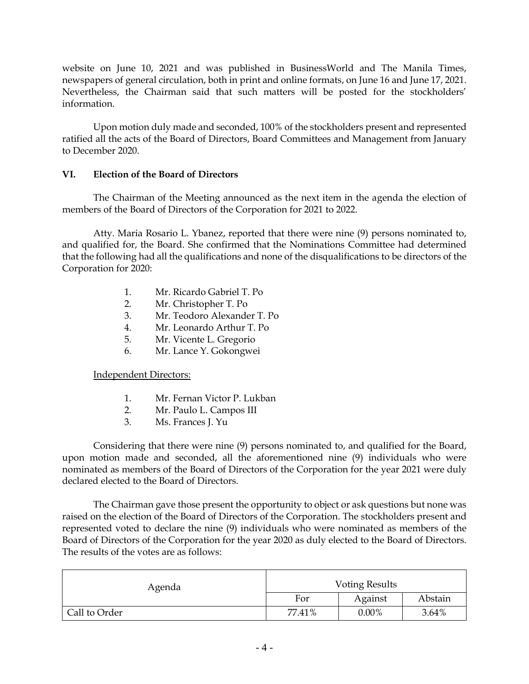website on June 10, 2021 and was published in BusinessWorld and The Manila Times, newspapers of general circulation, both in print and online formats, on June 16 and June 17, 2021. Nevertheless, the Chairman said that such matters will be posted for the stockholders' information.

Upon motion duly made and seconded, 100% of the stockholders present and represented ratified all the acts of the Board of Directors, Board Committees and Management from January to December 2020.

# **VI. Election of the Board of Directors**

The Chairman of the Meeting announced as the next item in the agenda the election of members of the Board of Directors of the Corporation for 2021 to 2022.

Atty. Maria Rosario L. Ybanez, reported that there were nine (9) persons nominated to, and qualified for, the Board. She confirmed that the Nominations Committee had determined that the following had all the qualifications and none of the disqualifications to be directors of the Corporation for 2020:

- 1. Mr. Ricardo Gabriel T. Po
- 2. Mr. Christopher T. Po
- 3. Mr. Teodoro Alexander T. Po
- 4. Mr. Leonardo Arthur T. Po
- 5. Mr. Vicente L. Gregorio
- 6. Mr. Lance Y. Gokongwei

Independent Directors:

- 1. Mr. Fernan Victor P. Lukban
- 2. Mr. Paulo L. Campos III
- 3. Ms. Frances J. Yu

Considering that there were nine (9) persons nominated to, and qualified for the Board, upon motion made and seconded, all the aforementioned nine (9) individuals who were nominated as members of the Board of Directors of the Corporation for the year 2021 were duly declared elected to the Board of Directors.

The Chairman gave those present the opportunity to object or ask questions but none was raised on the election of the Board of Directors of the Corporation. The stockholders present and represented voted to declare the nine (9) individuals who were nominated as members of the Board of Directors of the Corporation for the year 2020 as duly elected to the Board of Directors. The results of the votes are as follows:

| Agenda        | <b>Voting Results</b> |          |         |  |
|---------------|-----------------------|----------|---------|--|
|               | For                   | Against  | Abstain |  |
| Call to Order | 77.41%                | $0.00\%$ | 3.64%   |  |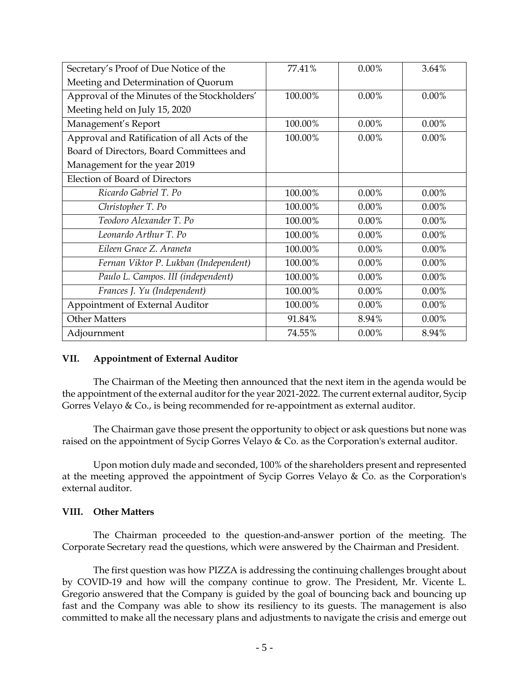| Secretary's Proof of Due Notice of the       | 77.41%  | $0.00\%$ | 3.64%    |
|----------------------------------------------|---------|----------|----------|
| Meeting and Determination of Quorum          |         |          |          |
| Approval of the Minutes of the Stockholders' | 100.00% | $0.00\%$ | $0.00\%$ |
| Meeting held on July 15, 2020                |         |          |          |
| Management's Report                          | 100.00% | $0.00\%$ | $0.00\%$ |
| Approval and Ratification of all Acts of the | 100.00% | $0.00\%$ | $0.00\%$ |
| Board of Directors, Board Committees and     |         |          |          |
| Management for the year 2019                 |         |          |          |
| Election of Board of Directors               |         |          |          |
| Ricardo Gabriel T. Po                        | 100.00% | $0.00\%$ | 0.00%    |
| Christopher T. Po                            | 100.00% | $0.00\%$ | 0.00%    |
| Teodoro Alexander T. Po                      | 100.00% | $0.00\%$ | 0.00%    |
| Leonardo Arthur T. Po                        | 100.00% | $0.00\%$ | $0.00\%$ |
| Eileen Grace Z. Araneta                      | 100.00% | $0.00\%$ | $0.00\%$ |
| Fernan Viktor P. Lukban (Independent)        | 100.00% | $0.00\%$ | 0.00%    |
| Paulo L. Campos. III (independent)           | 100.00% | $0.00\%$ | 0.00%    |
| Frances J. Yu (Independent)                  | 100.00% | $0.00\%$ | 0.00%    |
| Appointment of External Auditor              | 100.00% | $0.00\%$ | 0.00%    |
| <b>Other Matters</b>                         | 91.84%  | 8.94%    | 0.00%    |
| Adjournment                                  | 74.55%  | 0.00%    | 8.94%    |

# **VII. Appointment of External Auditor**

The Chairman of the Meeting then announced that the next item in the agenda would be the appointment of the external auditor for the year 2021-2022. The current external auditor, Sycip Gorres Velayo & Co., is being recommended for re-appointment as external auditor.

The Chairman gave those present the opportunity to object or ask questions but none was raised on the appointment of Sycip Gorres Velayo & Co. as the Corporation's external auditor.

Upon motion duly made and seconded, 100% of the shareholders present and represented at the meeting approved the appointment of Sycip Gorres Velayo & Co. as the Corporation's external auditor.

#### **VIII. Other Matters**

The Chairman proceeded to the question-and-answer portion of the meeting. The Corporate Secretary read the questions, which were answered by the Chairman and President.

The first question was how PIZZA is addressing the continuing challenges brought about by COVID-19 and how will the company continue to grow. The President, Mr. Vicente L. Gregorio answered that the Company is guided by the goal of bouncing back and bouncing up fast and the Company was able to show its resiliency to its guests. The management is also committed to make all the necessary plans and adjustments to navigate the crisis and emerge out